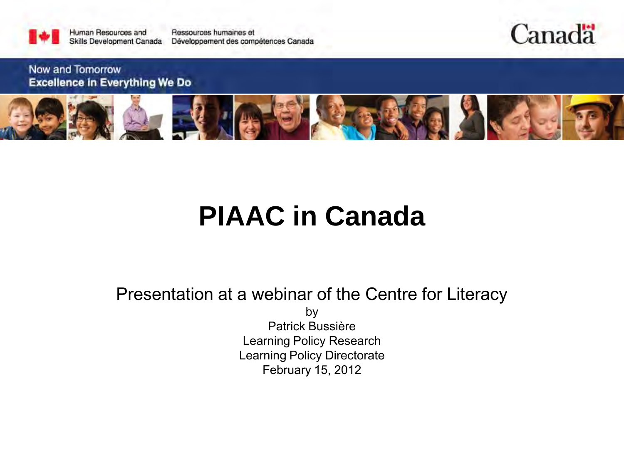

Canada

Now and Tomorrow **Excellence in Everything We Do** 



# **PIAAC in Canada**

Presentation at a webinar of the Centre for Literacy

by Patrick Bussière Learning Policy Research Learning Policy Directorate February 15, 2012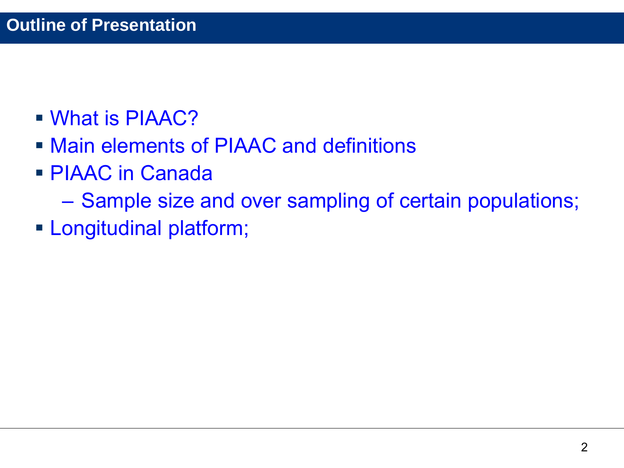- [What is PIAAC?](#page-2-0)
- [Main elements of PIAAC and definitions](#page-4-0)
- PIAAC in Canada
	- [Sample size and over sampling of certain populations;](#page-16-0)
- **Longitudinal platform;**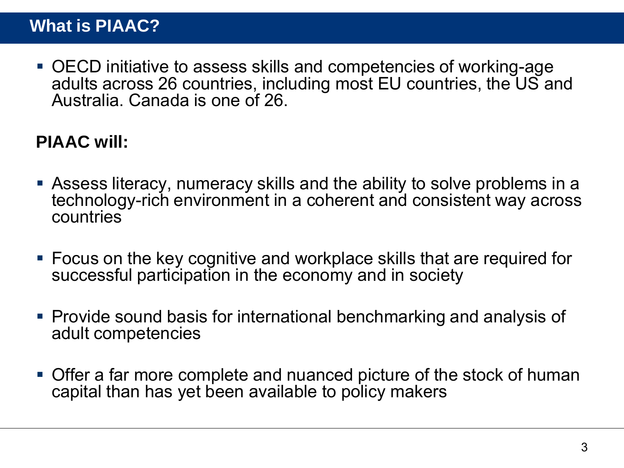<span id="page-2-0"></span> OECD initiative to assess skills and competencies of working-age adults across 26 countries, including most EU countries, the US and Australia. Canada is one of 26.

### **PIAAC will:**

- Assess literacy, numeracy skills and the ability to solve problems in a technology-rich environment in a coherent and consistent way across countries
- Focus on the key cognitive and workplace skills that are required for successful participation in the economy and in society
- Provide sound basis for international benchmarking and analysis of adult competencies
- Offer a far more complete and nuanced picture of the stock of human capital than has yet been available to policy makers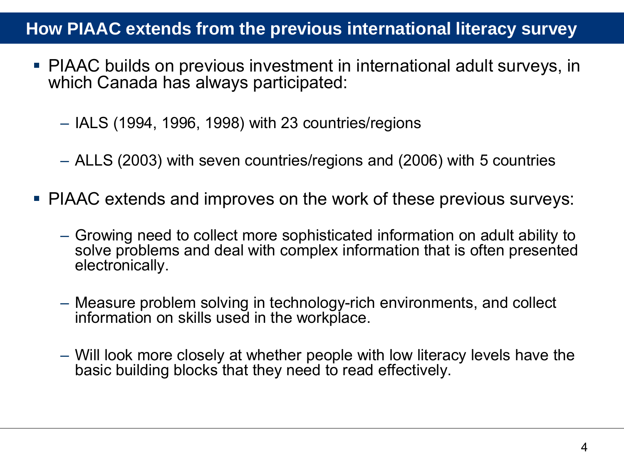### **How PIAAC extends from the previous international literacy survey**

- PIAAC builds on previous investment in international adult surveys, in which Canada has always participated:
	- IALS (1994, 1996, 1998) with 23 countries/regions
	- ALLS (2003) with seven countries/regions and (2006) with 5 countries
- PIAAC extends and improves on the work of these previous surveys:
	- Growing need to collect more sophisticated information on adult ability to solve problems and deal with complex information that is often presented electronically.
	- Measure problem solving in technology-rich environments, and collect information on skills used in the workplace.
	- Will look more closely at whether people with low literacy levels have the basic building blocks that they need to read effectively.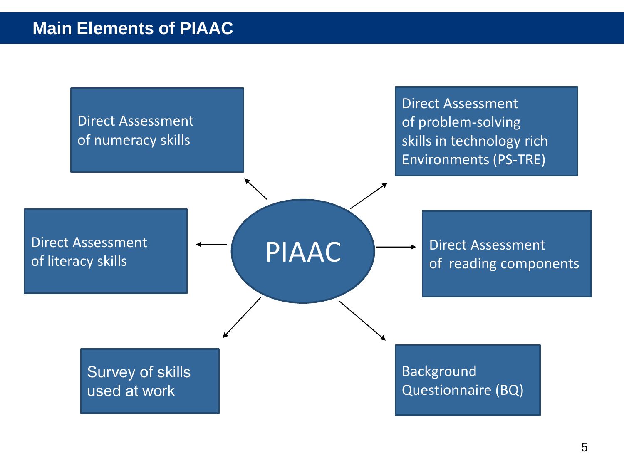<span id="page-4-0"></span>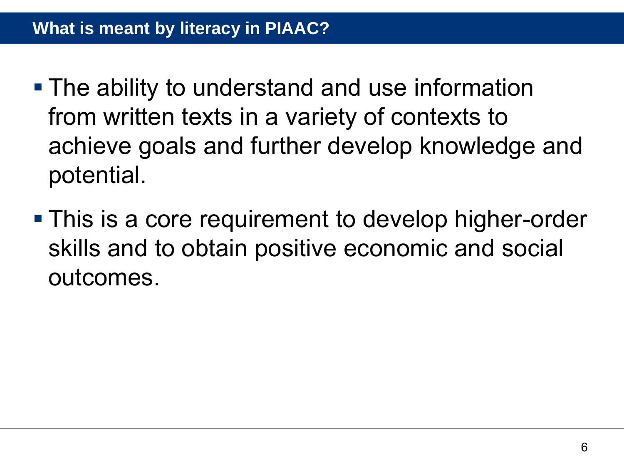- **The ability to understand and use information** from written texts in a variety of contexts to achieve goals and further develop knowledge and potential.
- **This is a core requirement to develop higher-order** skills and to obtain positive economic and social outcomes.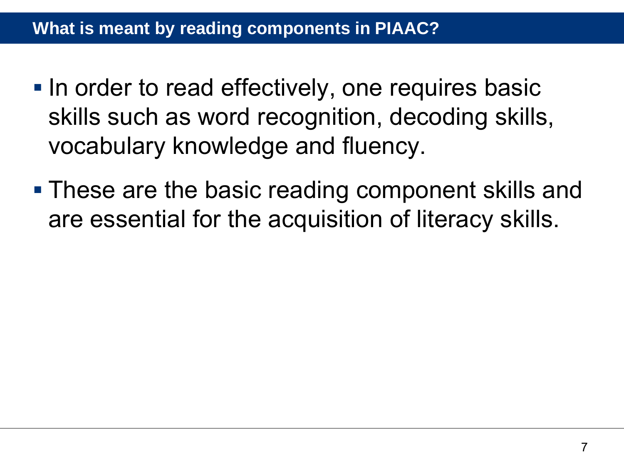- In order to read effectively, one requires basic skills such as word recognition, decoding skills, vocabulary knowledge and fluency.
- **These are the basic reading component skills and** are essential for the acquisition of literacy skills.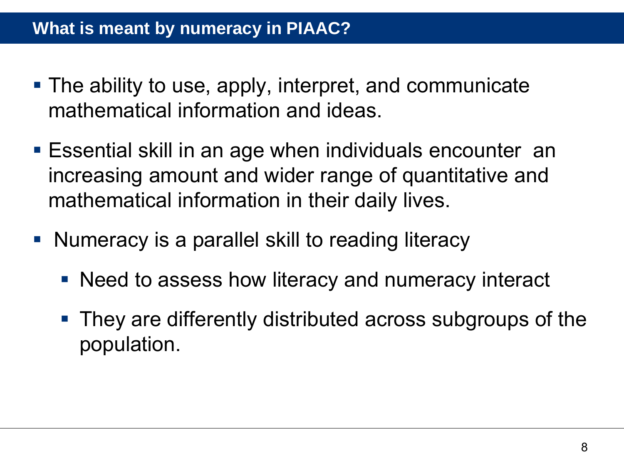### **What is meant by numeracy in PIAAC?**

- The ability to use, apply, interpret, and communicate mathematical information and ideas.
- Essential skill in an age when individuals encounter an increasing amount and wider range of quantitative and mathematical information in their daily lives.
- Numeracy is a parallel skill to reading literacy
	- Need to assess how literacy and numeracy interact
	- They are differently distributed across subgroups of the population.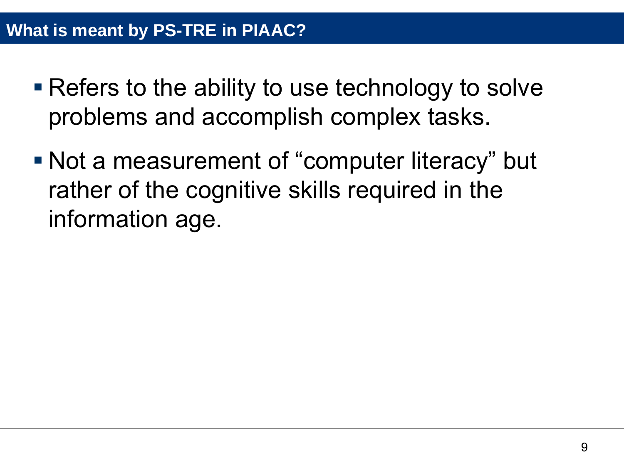- **Refers to the ability to use technology to solve** problems and accomplish complex tasks.
- Not a measurement of "computer literacy" but rather of the cognitive skills required in the information age.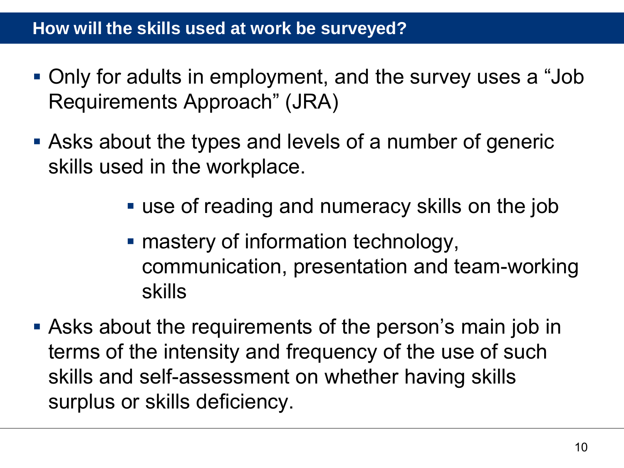### **How will the skills used at work be surveyed?**

- Only for adults in employment, and the survey uses a "Job Requirements Approach" (JRA)
- Asks about the types and levels of a number of generic skills used in the workplace.
	- use of reading and numeracy skills on the job
	- mastery of information technology, communication, presentation and team-working skills
- Asks about the requirements of the person's main job in terms of the intensity and frequency of the use of such skills and self-assessment on whether having skills surplus or skills deficiency.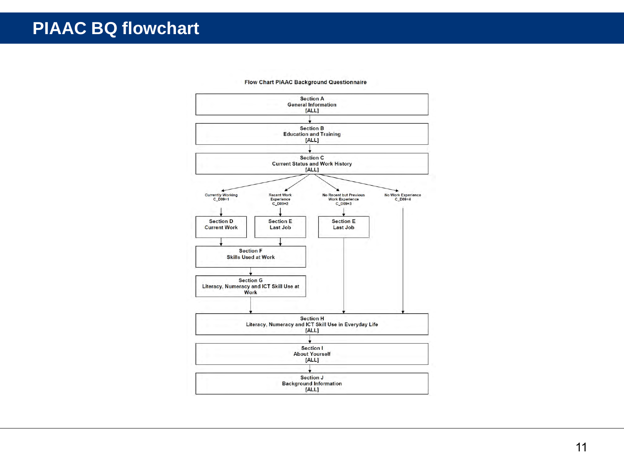### **PIAAC BQ flowchart**



#### **Flow Chart PIAAC Background Questionnaire**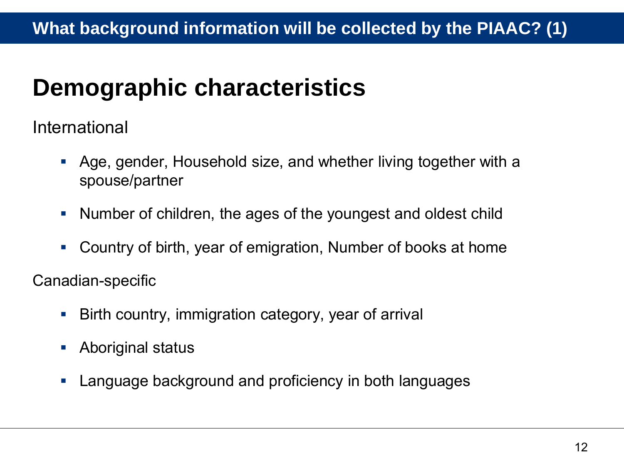### **Demographic characteristics**

International

- Age, gender, Household size, and whether living together with a spouse/partner
- Number of children, the ages of the youngest and oldest child
- Country of birth, year of emigration, Number of books at home

Canadian-specific

- Birth country, immigration category, year of arrival
- **Aboriginal status**
- **Language background and proficiency in both languages**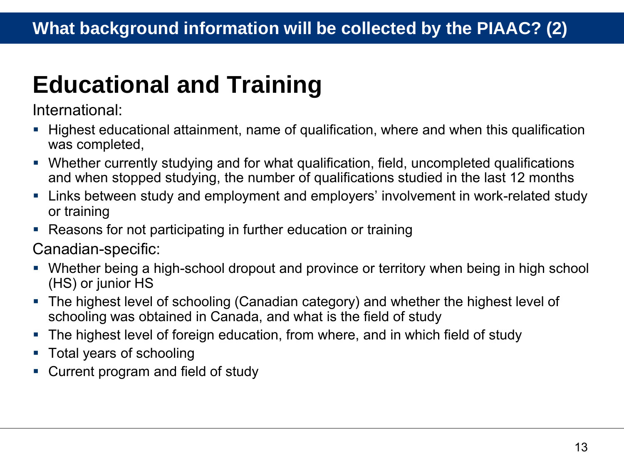## **Educational and Training**

International:

- Highest educational attainment, name of qualification, where and when this qualification was completed,
- Whether currently studying and for what qualification, field, uncompleted qualifications and when stopped studying, the number of qualifications studied in the last 12 months
- Links between study and employment and employers' involvement in work-related study or training
- Reasons for not participating in further education or training

Canadian-specific:

- Whether being a high-school dropout and province or territory when being in high school (HS) or junior HS
- The highest level of schooling (Canadian category) and whether the highest level of schooling was obtained in Canada, and what is the field of study
- The highest level of foreign education, from where, and in which field of study
- Total years of schooling
- Current program and field of study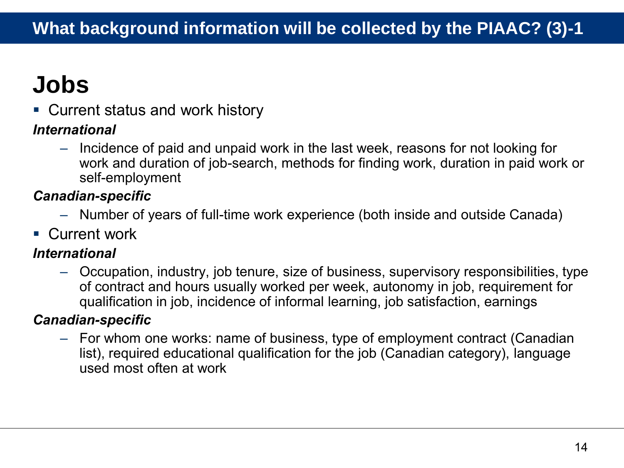# **Jobs**

Current status and work history

#### *International*

– Incidence of paid and unpaid work in the last week, reasons for not looking for work and duration of job-search, methods for finding work, duration in paid work or self-employment

### *Canadian-specific*

- Number of years of full-time work experience (both inside and outside Canada)
- **Current work**

#### *International*

– Occupation, industry, job tenure, size of business, supervisory responsibilities, type of contract and hours usually worked per week, autonomy in job, requirement for qualification in job, incidence of informal learning, job satisfaction, earnings

#### *Canadian-specific*

– For whom one works: name of business, type of employment contract (Canadian list), required educational qualification for the job (Canadian category), language used most often at work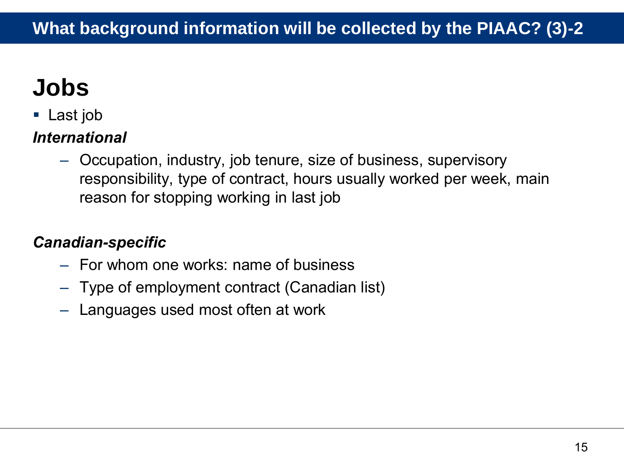# **Jobs**

■ Last job

### *International*

– Occupation, industry, job tenure, size of business, supervisory responsibility, type of contract, hours usually worked per week, main reason for stopping working in last job

### *Canadian-specific*

- For whom one works: name of business
- Type of employment contract (Canadian list)
- Languages used most often at work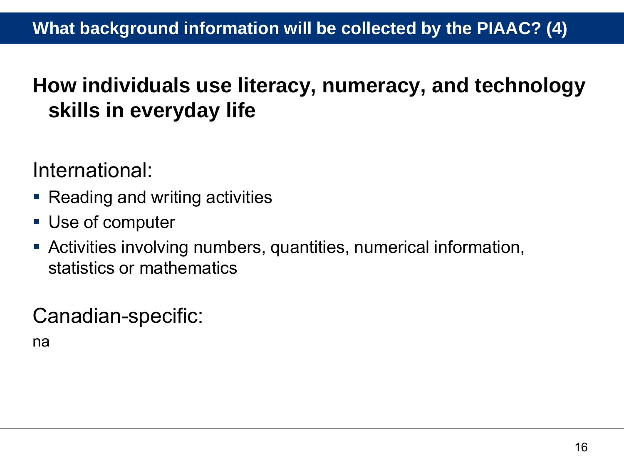### **How individuals use literacy, numeracy, and technology skills in everyday life**

International:

- Reading and writing activities
- Use of computer
- Activities involving numbers, quantities, numerical information, statistics or mathematics

Canadian-specific:

na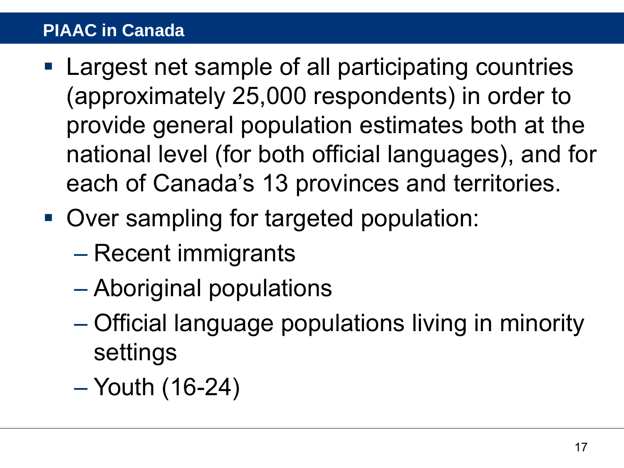### <span id="page-16-0"></span>**PIAAC in Canada**

- Largest net sample of all participating countries (approximately 25,000 respondents) in order to provide general population estimates both at the national level (for both official languages), and for each of Canada's 13 provinces and territories.
- Over sampling for targeted population:
	- Recent immigrants
	- Aboriginal populations
	- Official language populations living in minority settings
	- Youth (16-24)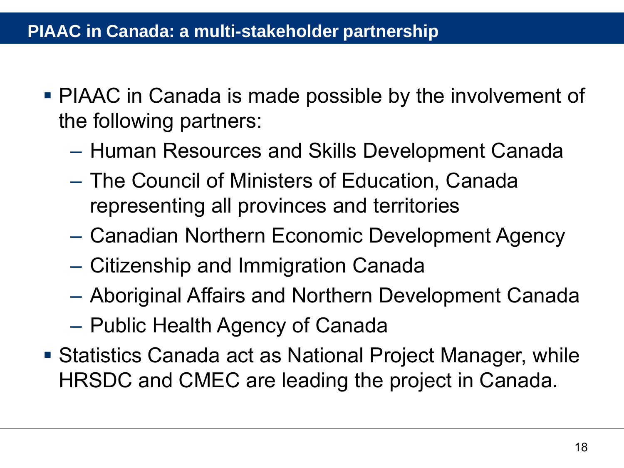### **PIAAC in Canada: a multi-stakeholder partnership**

- PIAAC in Canada is made possible by the involvement of the following partners:
	- Human Resources and Skills Development Canada
	- The Council of Ministers of Education, Canada representing all provinces and territories
	- Canadian Northern Economic Development Agency
	- Citizenship and Immigration Canada
	- Aboriginal Affairs and Northern Development Canada
	- Public Health Agency of Canada
- Statistics Canada act as National Project Manager, while HRSDC and CMEC are leading the project in Canada.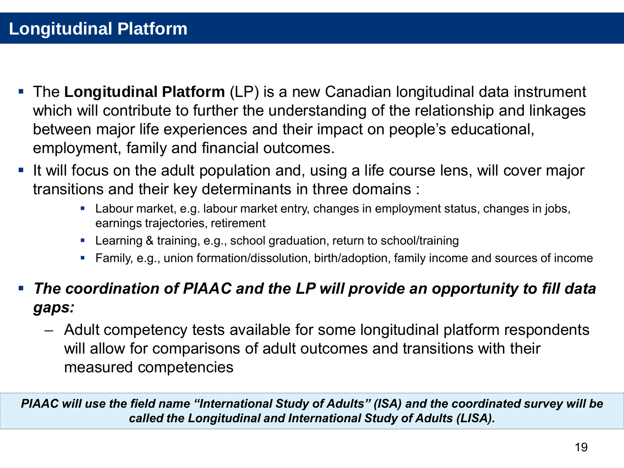- <span id="page-18-0"></span> The **Longitudinal Platform** (LP) is a new Canadian longitudinal data instrument which will contribute to further the understanding of the relationship and linkages between major life experiences and their impact on people's educational, employment, family and financial outcomes.
- It will focus on the adult population and, using a life course lens, will cover major transitions and their key determinants in three domains :
	- Labour market, e.g. labour market entry, changes in employment status, changes in jobs, earnings trajectories, retirement
	- Learning & training, e.g., school graduation, return to school/training
	- Family, e.g., union formation/dissolution, birth/adoption, family income and sources of income
- *The coordination of PIAAC and the LP will provide an opportunity to fill data gaps:*
	- Adult competency tests available for some longitudinal platform respondents will allow for comparisons of adult outcomes and transitions with their measured competencies

*PIAAC will use the field name "International Study of Adults" (ISA) and the coordinated survey will be called the Longitudinal and International Study of Adults (LISA).*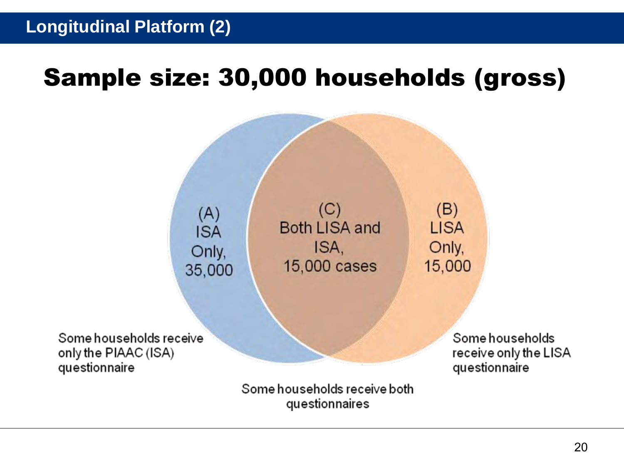## Sample size: 30,000 households (gross)

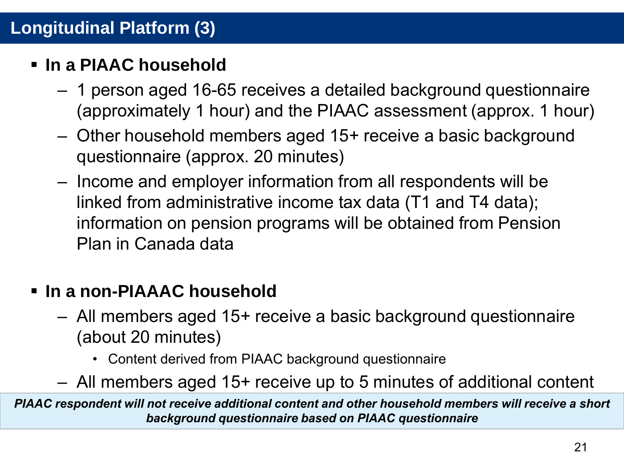### **Longitudinal Platform (3)**

### **In a PIAAC household**

- 1 person aged 16-65 receives a detailed background questionnaire (approximately 1 hour) and the PIAAC assessment (approx. 1 hour)
- Other household members aged 15+ receive a basic background questionnaire (approx. 20 minutes)
- Income and employer information from all respondents will be linked from administrative income tax data (T1 and T4 data); information on pension programs will be obtained from Pension Plan in Canada data

### **In a non-PIAAAC household**

- All members aged 15+ receive a basic background questionnaire (about 20 minutes)
	- Content derived from PIAAC background questionnaire
- All members aged 15+ receive up to 5 minutes of additional content

*PIAAC respondent will not receive additional content and other household members will receive a short background questionnaire based on PIAAC questionnaire*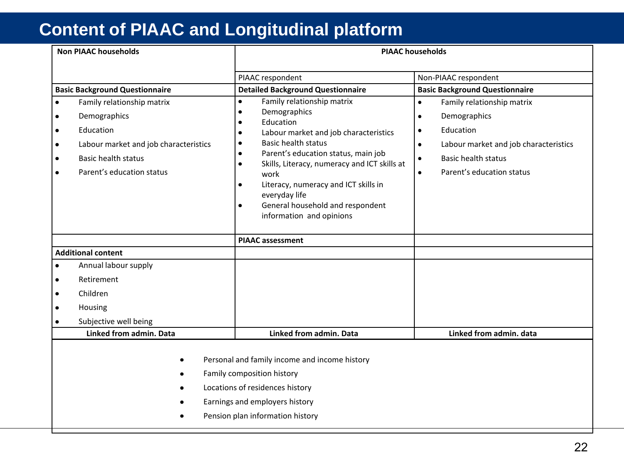### **Content of PIAAC and Longitudinal platform**

| <b>Non PIAAC households</b>                                                                                                                                                                                                                                           |                                                                                                                                                             | <b>PIAAC households</b>                                                                                                                                                                                                                                                                                                                                                                                                                                     |                                                                                                                                                                                                   |
|-----------------------------------------------------------------------------------------------------------------------------------------------------------------------------------------------------------------------------------------------------------------------|-------------------------------------------------------------------------------------------------------------------------------------------------------------|-------------------------------------------------------------------------------------------------------------------------------------------------------------------------------------------------------------------------------------------------------------------------------------------------------------------------------------------------------------------------------------------------------------------------------------------------------------|---------------------------------------------------------------------------------------------------------------------------------------------------------------------------------------------------|
|                                                                                                                                                                                                                                                                       | <b>Basic Background Questionnaire</b>                                                                                                                       | PIAAC respondent<br><b>Detailed Background Questionnaire</b>                                                                                                                                                                                                                                                                                                                                                                                                | Non-PIAAC respondent<br><b>Basic Background Questionnaire</b>                                                                                                                                     |
| $\bullet$<br>٠<br>$\bullet$<br>٠<br>٠<br>٠                                                                                                                                                                                                                            | Family relationship matrix<br>Demographics<br>Education<br>Labour market and job characteristics<br><b>Basic health status</b><br>Parent's education status | Family relationship matrix<br>$\bullet$<br>Demographics<br>$\bullet$<br>Education<br>$\bullet$<br>Labour market and job characteristics<br>$\bullet$<br><b>Basic health status</b><br>$\bullet$<br>Parent's education status, main job<br>$\bullet$<br>Skills, Literacy, numeracy and ICT skills at<br>$\bullet$<br>work<br>Literacy, numeracy and ICT skills in<br>٠<br>everyday life<br>General household and respondent<br>٠<br>information and opinions | Family relationship matrix<br>$\bullet$<br>Demographics<br>٠<br>Education<br>٠<br>Labour market and job characteristics<br>٠<br><b>Basic health status</b><br>٠<br>Parent's education status<br>٠ |
| <b>Additional content</b><br>$\bullet$<br>٠<br>Children<br>٠<br>Housing                                                                                                                                                                                               | Annual labour supply<br>Retirement<br>Subjective well being                                                                                                 | <b>PIAAC</b> assessment                                                                                                                                                                                                                                                                                                                                                                                                                                     |                                                                                                                                                                                                   |
| Linked from admin. Data<br>Linked from admin. Data<br>Linked from admin. data<br>Personal and family income and income history<br>Family composition history<br>Locations of residences history<br>Earnings and employers history<br>Pension plan information history |                                                                                                                                                             |                                                                                                                                                                                                                                                                                                                                                                                                                                                             |                                                                                                                                                                                                   |